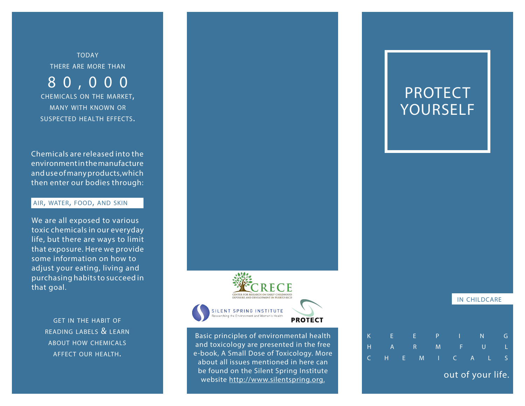**TODAY** there are more than

8 0 , 0 0 0 chemicals on the market, many with known or suspected health effects.

Chemicals are released into the environment in the manufacture and use of many products,which then enter our bodies through:

# air, water, food, and skin

We are all exposed to various toxic chemicals in our everyday life, but there are ways to limit that exposure. Here we provide some information on how to adjust your eating, living and purchasing habits to succeed in that goal.

> get in the habit of reading labels & learn about how chemicals affect our health.



Basic principles of environmental health and toxicology are presented in the free e-book, A Small Dose of Toxicology. More about all issues mentioned in here can be found on the Silent Spring Institute website http://www.silentspring.org.

# PROTECT YOURSELF

|   |                   |   |   |   |       | <b>IN CHILDCARE</b> |   |    |  |  |
|---|-------------------|---|---|---|-------|---------------------|---|----|--|--|
|   |                   |   |   |   |       |                     |   |    |  |  |
|   |                   |   |   |   |       |                     |   |    |  |  |
| K | E                 |   | Æ | P | т     |                     | N | G  |  |  |
| H | $\overline{A}$    |   | R | M | F     | U                   |   |    |  |  |
| C | н                 | E | M | T | $C =$ | $\mathsf{A}$        |   | S. |  |  |
|   | out of your life. |   |   |   |       |                     |   |    |  |  |